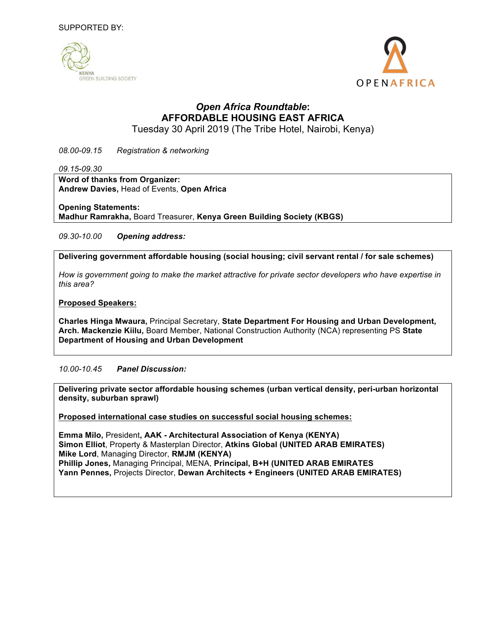



# *Open Africa Roundtable***: AFFORDABLE HOUSING EAST AFRICA**

Tuesday 30 April 2019 (The Tribe Hotel, Nairobi, Kenya)

*08.00-09.15 Registration & networking*

*09.15-09.30*

**Word of thanks from Organizer: Andrew Davies,** Head of Events, **Open Africa**

**Opening Statements:** 

**Madhur Ramrakha,** Board Treasurer, **Kenya Green Building Society (KBGS)**

*09.30-10.00 Opening address:* 

**Delivering government affordable housing (social housing; civil servant rental / for sale schemes)**

*How is government going to make the market attractive for private sector developers who have expertise in this area?*

**Proposed Speakers:**

**Charles Hinga Mwaura,** Principal Secretary, **State Department For Housing and Urban Development, Arch. Mackenzie Kiilu,** Board Member, National Construction Authority (NCA) representing PS **State Department of Housing and Urban Development**

*10.00-10.45 Panel Discussion:*

**Delivering private sector affordable housing schemes (urban vertical density, peri-urban horizontal density, suburban sprawl)** 

**Proposed international case studies on successful social housing schemes:** 

**Emma Milo,** President**, AAK - Architectural Association of Kenya (KENYA) Simon Elliot**, Property & Masterplan Director, **Atkins Global (UNITED ARAB EMIRATES) Mike Lord**, Managing Director, **RMJM (KENYA) Phillip Jones,** Managing Principal, MENA, **Principal, B+H (UNITED ARAB EMIRATES Yann Pennes,** Projects Director, **Dewan Architects + Engineers (UNITED ARAB EMIRATES)**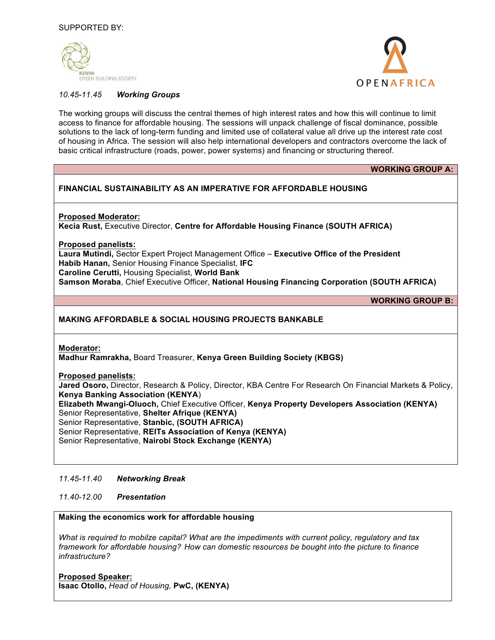



## *10.45-11.45 Working Groups*

The working groups will discuss the central themes of high interest rates and how this will continue to limit access to finance for affordable housing. The sessions will unpack challenge of fiscal dominance, possible solutions to the lack of long-term funding and limited use of collateral value all drive up the interest rate cost of housing in Africa. The session will also help international developers and contractors overcome the lack of basic critical infrastructure (roads, power, power systems) and financing or structuring thereof.

| <b>WORKING GROUP A:</b>                                                                                                                                                                                                                                                                                                                                                                                                                                                                                                                                |
|--------------------------------------------------------------------------------------------------------------------------------------------------------------------------------------------------------------------------------------------------------------------------------------------------------------------------------------------------------------------------------------------------------------------------------------------------------------------------------------------------------------------------------------------------------|
| <b>FINANCIAL SUSTAINABILITY AS AN IMPERATIVE FOR AFFORDABLE HOUSING</b>                                                                                                                                                                                                                                                                                                                                                                                                                                                                                |
| <b>Proposed Moderator:</b><br>Kecia Rust, Executive Director, Centre for Affordable Housing Finance (SOUTH AFRICA)                                                                                                                                                                                                                                                                                                                                                                                                                                     |
| <b>Proposed panelists:</b><br>Laura Mutindi, Sector Expert Project Management Office - Executive Office of the President<br>Habib Hanan, Senior Housing Finance Specialist, IFC<br><b>Caroline Cerutti, Housing Specialist, World Bank</b><br>Samson Moraba, Chief Executive Officer, National Housing Financing Corporation (SOUTH AFRICA)                                                                                                                                                                                                            |
| <b>WORKING GROUP B:</b>                                                                                                                                                                                                                                                                                                                                                                                                                                                                                                                                |
| <b>MAKING AFFORDABLE &amp; SOCIAL HOUSING PROJECTS BANKABLE</b>                                                                                                                                                                                                                                                                                                                                                                                                                                                                                        |
| <b>Moderator:</b><br>Madhur Ramrakha, Board Treasurer, Kenya Green Building Society (KBGS)<br><b>Proposed panelists:</b><br>Jared Osoro, Director, Research & Policy, Director, KBA Centre For Research On Financial Markets & Policy,<br><b>Kenya Banking Association (KENYA)</b><br>Elizabeth Mwangi-Oluoch, Chief Executive Officer, Kenya Property Developers Association (KENYA)<br>Senior Representative, Shelter Afrique (KENYA)<br>Senior Representative, Stanbic, (SOUTH AFRICA)<br>Senior Representative, REITs Association of Kenya (KENYA) |
| Senior Representative, Nairobi Stock Exchange (KENYA)                                                                                                                                                                                                                                                                                                                                                                                                                                                                                                  |

### *11.45-11.40 Networking Break*

*11.40-12.00 Presentation*

## **Making the economics work for affordable housing**

*What is required to mobilze capital? What are the impediments with current policy, regulatory and tax framework for affordable housing? How can domestic resources be bought into the picture to finance infrastructure?*

**Proposed Speaker: Isaac Otollo,** *Head of Housing,* **PwC, (KENYA)**